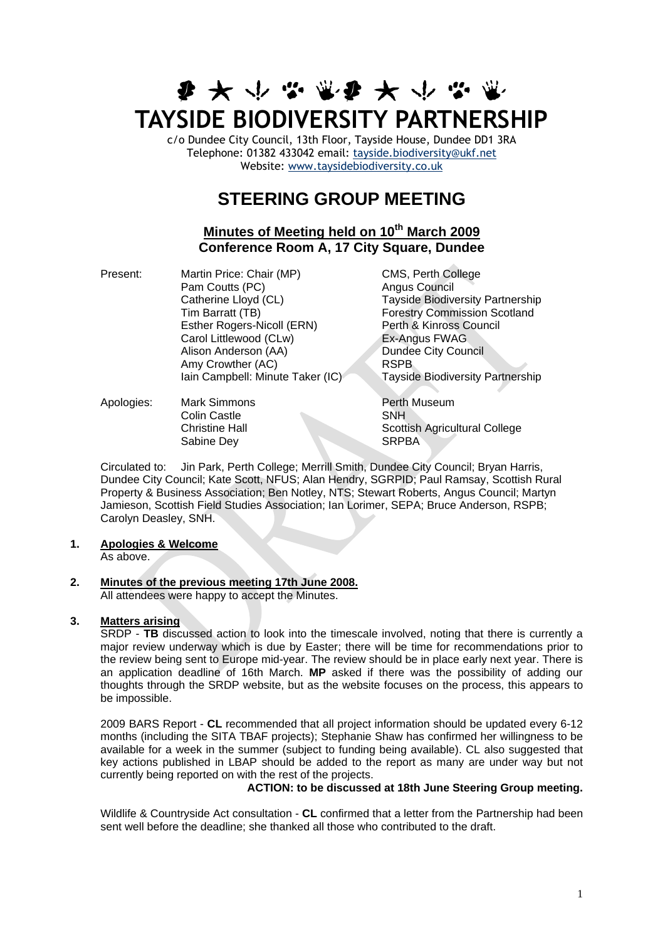# **ま 大 小 な 電 ま 大 小 な 電 TAYSIDE BIODIVERSITY PARTNERSHIP**

c/o Dundee City Council, 13th Floor, Tayside House, Dundee DD1 3RA Telephone: 01382 433042 email: [tayside.biodiversity@ukf.net](mailto:tayside.biodiversity@ukf.net)  Website: [www.taysidebiodiversity.co.uk](http://www.taysidebiodiversity.co.uk/)

# **STEERING GROUP MEETING**

# **Minutes of Meeting held on 10th March 2009 Conference Room A, 17 City Square, Dundee**

Present: Martin Price: Chair (MP) CMS, Perth College Pam Coutts (PC) <br>Catherine Lloyd (CL) Tayside Biodive Catherine Lloyd (CL) Tayside Biodiversity Partnership<br>Tim Barratt (TB) Tim Barratt (TB) Esther Rogers-Nicoll (ERN) Perth & Kinross Council<br>Carol Littlewood (CLw) Ex-Angus FWAG Carol Littlewood (CLw) Alison Anderson (AA) Dundee City Council Amy Crowther (AC)<br>
lain Campbell: Minute Taker (IC) Tayside Biodiversity Partnership Iain Campbell: Minute Taker (IC)

Forestry Commission Scotland

Apologies: Mark Simmons **Perth Museum** Colin Castle SNH Sabine Dev SRPBA

**Christine Hall Scottish Agricultural College** 

Circulated to: Jin Park, Perth College; Merrill Smith, Dundee City Council; Bryan Harris, Dundee City Council; Kate Scott, NFUS; Alan Hendry, SGRPID; Paul Ramsay, Scottish Rural Property & Business Association; Ben Notley, NTS; Stewart Roberts, Angus Council; Martyn Jamieson, Scottish Field Studies Association; Ian Lorimer, SEPA; Bruce Anderson, RSPB; Carolyn Deasley, SNH.

## **1. Apologies & Welcome**

As above.

# **2. Minutes of the previous meeting 17th June 2008.**

All attendees were happy to accept the Minutes.

# **3. Matters arising**

SRDP - **TB** discussed action to look into the timescale involved, noting that there is currently a major review underway which is due by Easter; there will be time for recommendations prior to the review being sent to Europe mid-year. The review should be in place early next year. There is an application deadline of 16th March. **MP** asked if there was the possibility of adding our thoughts through the SRDP website, but as the website focuses on the process, this appears to be impossible.

2009 BARS Report - **CL** recommended that all project information should be updated every 6-12 months (including the SITA TBAF projects); Stephanie Shaw has confirmed her willingness to be available for a week in the summer (subject to funding being available). CL also suggested that key actions published in LBAP should be added to the report as many are under way but not currently being reported on with the rest of the projects.

### **ACTION: to be discussed at 18th June Steering Group meeting.**

Wildlife & Countryside Act consultation - **CL** confirmed that a letter from the Partnership had been sent well before the deadline; she thanked all those who contributed to the draft.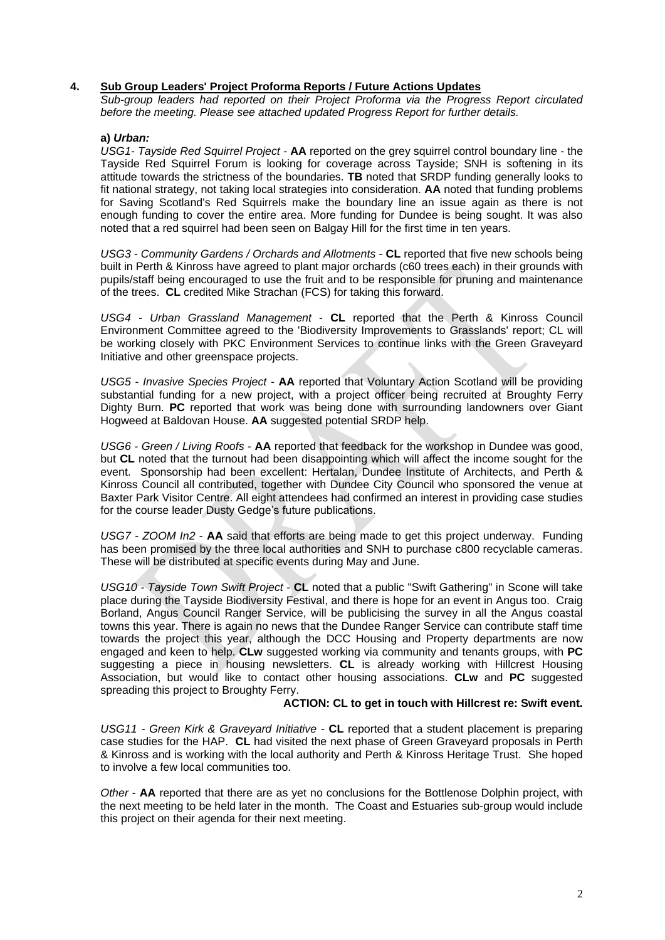#### **4. Sub Group Leaders' Project Proforma Reports / Future Actions Updates**

*Sub-group leaders had reported on their Project Proforma via the Progress Report circulated before the meeting. Please see attached updated Progress Report for further details.*

#### **a)** *Urban:*

*USG1- Tayside Red Squirrel Project* - **AA** reported on the grey squirrel control boundary line - the Tayside Red Squirrel Forum is looking for coverage across Tayside; SNH is softening in its attitude towards the strictness of the boundaries. **TB** noted that SRDP funding generally looks to fit national strategy, not taking local strategies into consideration. **AA** noted that funding problems for Saving Scotland's Red Squirrels make the boundary line an issue again as there is not enough funding to cover the entire area. More funding for Dundee is being sought. It was also noted that a red squirrel had been seen on Balgay Hill for the first time in ten years.

*USG3 - Community Gardens / Orchards and Allotments* - **CL** reported that five new schools being built in Perth & Kinross have agreed to plant major orchards (c60 trees each) in their grounds with pupils/staff being encouraged to use the fruit and to be responsible for pruning and maintenance of the trees. **CL** credited Mike Strachan (FCS) for taking this forward.

*USG4 - Urban Grassland Management* - **CL** reported that the Perth & Kinross Council Environment Committee agreed to the 'Biodiversity Improvements to Grasslands' report; CL will be working closely with PKC Environment Services to continue links with the Green Graveyard Initiative and other greenspace projects.

*USG5* - *Invasive Species Project* - **AA** reported that Voluntary Action Scotland will be providing substantial funding for a new project, with a project officer being recruited at Broughty Ferry Dighty Burn. **PC** reported that work was being done with surrounding landowners over Giant Hogweed at Baldovan House. **AA** suggested potential SRDP help.

*USG6 - Green / Living Roofs* - **AA** reported that feedback for the workshop in Dundee was good, but **CL** noted that the turnout had been disappointing which will affect the income sought for the event. Sponsorship had been excellent: Hertalan, Dundee Institute of Architects, and Perth & Kinross Council all contributed, together with Dundee City Council who sponsored the venue at Baxter Park Visitor Centre. All eight attendees had confirmed an interest in providing case studies for the course leader Dusty Gedge's future publications.

*USG7 - ZOOM In2* - **AA** said that efforts are being made to get this project underway. Funding has been promised by the three local authorities and SNH to purchase c800 recyclable cameras. These will be distributed at specific events during May and June.

*USG10 - Tayside Town Swift Project* - **CL** noted that a public "Swift Gathering" in Scone will take place during the Tayside Biodiversity Festival, and there is hope for an event in Angus too. Craig Borland, Angus Council Ranger Service, will be publicising the survey in all the Angus coastal towns this year. There is again no news that the Dundee Ranger Service can contribute staff time towards the project this year, although the DCC Housing and Property departments are now engaged and keen to help. **CLw** suggested working via community and tenants groups, with **PC** suggesting a piece in housing newsletters. **CL** is already working with Hillcrest Housing Association, but would like to contact other housing associations. **CLw** and **PC** suggested spreading this project to Broughty Ferry.

#### **ACTION: CL to get in touch with Hillcrest re: Swift event.**

*USG11 - Green Kirk & Graveyard Initiative* - **CL** reported that a student placement is preparing case studies for the HAP. **CL** had visited the next phase of Green Graveyard proposals in Perth & Kinross and is working with the local authority and Perth & Kinross Heritage Trust. She hoped to involve a few local communities too.

*Other* - **AA** reported that there are as yet no conclusions for the Bottlenose Dolphin project, with the next meeting to be held later in the month. The Coast and Estuaries sub-group would include this project on their agenda for their next meeting.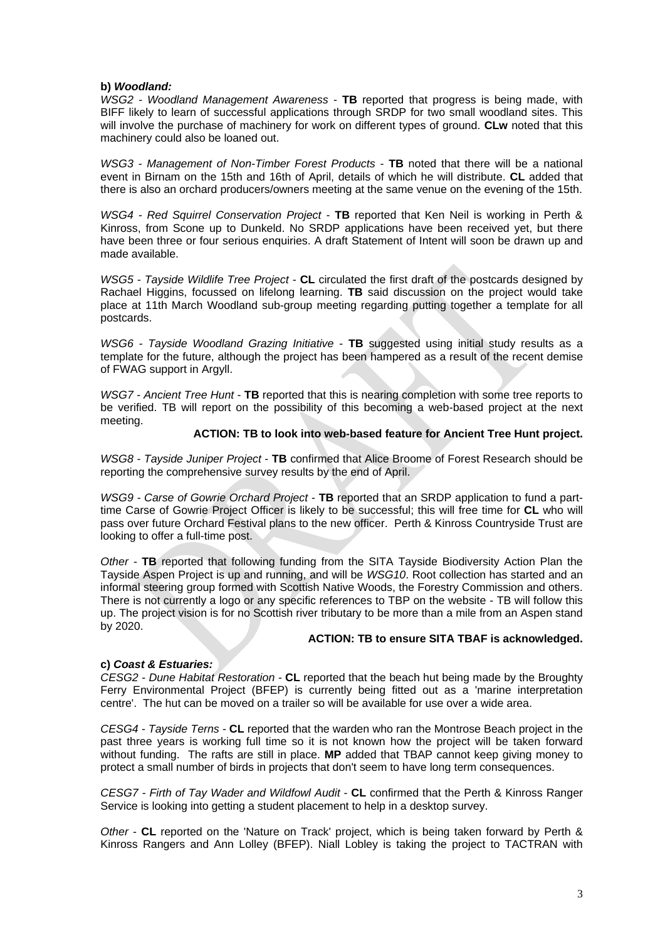#### **b)** *Woodland:*

*WSG2 - Woodland Management Awareness* - **TB** reported that progress is being made, with BIFF likely to learn of successful applications through SRDP for two small woodland sites. This will involve the purchase of machinery for work on different types of ground. **CLw** noted that this machinery could also be loaned out.

*WSG3 - Management of Non-Timber Forest Products* - **TB** noted that there will be a national event in Birnam on the 15th and 16th of April, details of which he will distribute. **CL** added that there is also an orchard producers/owners meeting at the same venue on the evening of the 15th.

*WSG4 - Red Squirrel Conservation Project* - **TB** reported that Ken Neil is working in Perth & Kinross, from Scone up to Dunkeld. No SRDP applications have been received yet, but there have been three or four serious enquiries. A draft Statement of Intent will soon be drawn up and made available.

*WSG5 - Tayside Wildlife Tree Project* - **CL** circulated the first draft of the postcards designed by Rachael Higgins, focussed on lifelong learning. **TB** said discussion on the project would take place at 11th March Woodland sub-group meeting regarding putting together a template for all postcards.

*WSG6 - Tayside Woodland Grazing Initiative* - **TB** suggested using initial study results as a template for the future, although the project has been hampered as a result of the recent demise of FWAG support in Argyll.

*WSG7 - Ancient Tree Hunt* - **TB** reported that this is nearing completion with some tree reports to be verified. TB will report on the possibility of this becoming a web-based project at the next meeting.

#### **ACTION: TB to look into web-based feature for Ancient Tree Hunt project.**

*WSG8 - Tayside Juniper Project* - **TB** confirmed that Alice Broome of Forest Research should be reporting the comprehensive survey results by the end of April.

*WSG9 - Carse of Gowrie Orchard Project* - **TB** reported that an SRDP application to fund a parttime Carse of Gowrie Project Officer is likely to be successful; this will free time for **CL** who will pass over future Orchard Festival plans to the new officer. Perth & Kinross Countryside Trust are looking to offer a full-time post.

*Other -* **TB** reported that following funding from the SITA Tayside Biodiversity Action Plan the Tayside Aspen Project is up and running, and will be *WSG10*. Root collection has started and an informal steering group formed with Scottish Native Woods, the Forestry Commission and others. There is not currently a logo or any specific references to TBP on the website - TB will follow this up. The project vision is for no Scottish river tributary to be more than a mile from an Aspen stand by 2020.

#### **ACTION: TB to ensure SITA TBAF is acknowledged.**

#### **c)** *Coast & Estuaries:*

*CESG2 - Dune Habitat Restoration -* **CL** reported that the beach hut being made by the Broughty Ferry Environmental Project (BFEP) is currently being fitted out as a 'marine interpretation centre'. The hut can be moved on a trailer so will be available for use over a wide area.

*CESG4 - Tayside Terns -* **CL** reported that the warden who ran the Montrose Beach project in the past three years is working full time so it is not known how the project will be taken forward without funding. The rafts are still in place. **MP** added that TBAP cannot keep giving money to protect a small number of birds in projects that don't seem to have long term consequences.

*CESG7 - Firth of Tay Wader and Wildfowl Audit* - **CL** confirmed that the Perth & Kinross Ranger Service is looking into getting a student placement to help in a desktop survey.

*Other* - **CL** reported on the 'Nature on Track' project, which is being taken forward by Perth & Kinross Rangers and Ann Lolley (BFEP). Niall Lobley is taking the project to TACTRAN with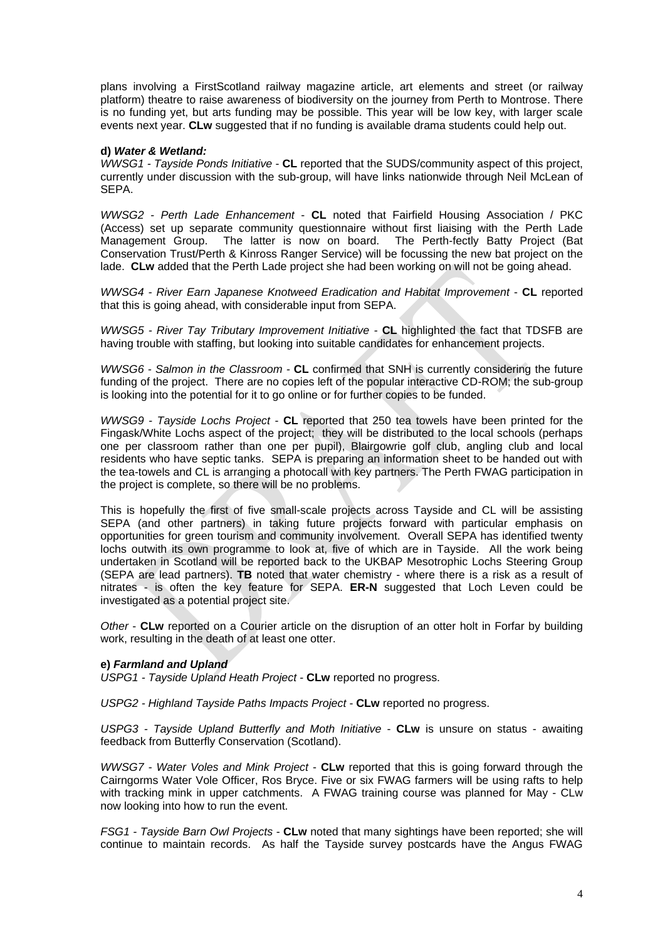plans involving a FirstScotland railway magazine article, art elements and street (or railway platform) theatre to raise awareness of biodiversity on the journey from Perth to Montrose. There is no funding yet, but arts funding may be possible. This year will be low key, with larger scale events next year. **CLw** suggested that if no funding is available drama students could help out.

#### **d)** *Water & Wetland:*

*WWSG1 - Tayside Ponds Initiative* - **CL** reported that the SUDS/community aspect of this project, currently under discussion with the sub-group, will have links nationwide through Neil McLean of SEPA.

*WWSG2 - Perth Lade Enhancement* - **CL** noted that Fairfield Housing Association / PKC (Access) set up separate community questionnaire without first liaising with the Perth Lade Management Group. The latter is now on board. The Perth-fectly Batty Project (Bat Conservation Trust/Perth & Kinross Ranger Service) will be focussing the new bat project on the lade. **CLw** added that the Perth Lade project she had been working on will not be going ahead.

*WWSG4 - River Earn Japanese Knotweed Eradication and Habitat Improvement* - **CL** reported that this is going ahead, with considerable input from SEPA.

*WWSG5 - River Tay Tributary Improvement Initiative -* **CL** highlighted the fact that TDSFB are having trouble with staffing, but looking into suitable candidates for enhancement projects.

*WWSG6 - Salmon in the Classroom -* **CL** confirmed that SNH is currently considering the future funding of the project. There are no copies left of the popular interactive CD-ROM; the sub-group is looking into the potential for it to go online or for further copies to be funded.

*WWSG9 - Tayside Lochs Project* - **CL** reported that 250 tea towels have been printed for the Fingask/White Lochs aspect of the project; they will be distributed to the local schools (perhaps one per classroom rather than one per pupil), Blairgowrie golf club, angling club and local residents who have septic tanks. SEPA is preparing an information sheet to be handed out with the tea-towels and CL is arranging a photocall with key partners. The Perth FWAG participation in the project is complete, so there will be no problems.

This is hopefully the first of five small-scale projects across Tayside and CL will be assisting SEPA (and other partners) in taking future projects forward with particular emphasis on opportunities for green tourism and community involvement. Overall SEPA has identified twenty lochs outwith its own programme to look at, five of which are in Tayside. All the work being undertaken in Scotland will be reported back to the UKBAP Mesotrophic Lochs Steering Group (SEPA are lead partners). **TB** noted that water chemistry - where there is a risk as a result of nitrates - is often the key feature for SEPA. **ER-N** suggested that Loch Leven could be investigated as a potential project site.

*Other* - **CLw** reported on a Courier article on the disruption of an otter holt in Forfar by building work, resulting in the death of at least one otter.

#### **e)** *Farmland and Upland*

*USPG1 - Tayside Upland Heath Project -* **CLw** reported no progress.

*USPG2 - Highland Tayside Paths Impacts Project* - **CLw** reported no progress.

*USPG3 - Tayside Upland Butterfly and Moth Initiative* - **CLw** is unsure on status - awaiting feedback from Butterfly Conservation (Scotland).

*WWSG7 - Water Voles and Mink Project* - **CLw** reported that this is going forward through the Cairngorms Water Vole Officer, Ros Bryce. Five or six FWAG farmers will be using rafts to help with tracking mink in upper catchments. A FWAG training course was planned for May - CLw now looking into how to run the event.

*FSG1 - Tayside Barn Owl Projects* - **CLw** noted that many sightings have been reported; she will continue to maintain records. As half the Tayside survey postcards have the Angus FWAG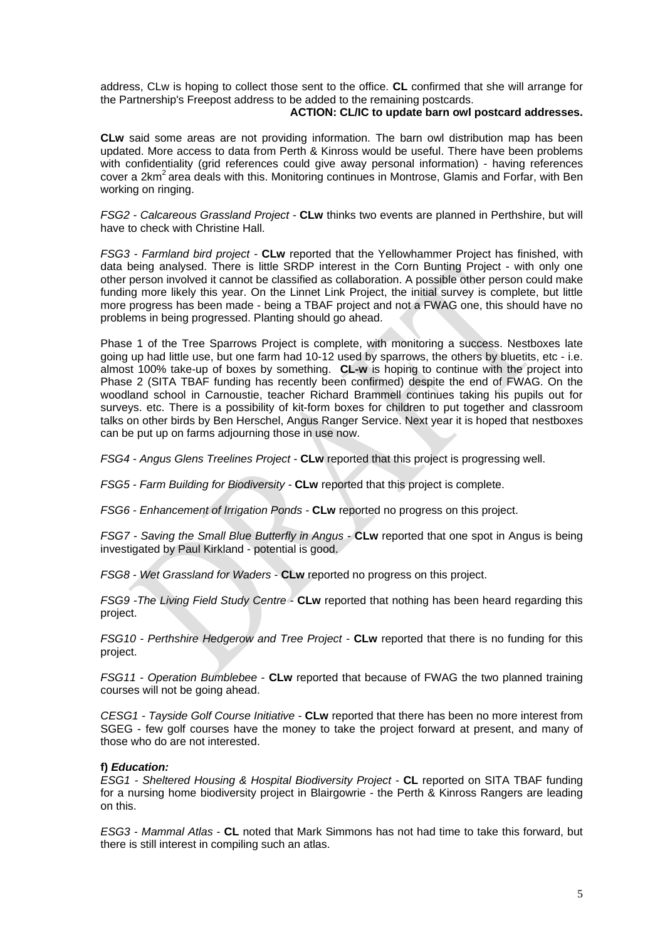address, CLw is hoping to collect those sent to the office. **CL** confirmed that she will arrange for the Partnership's Freepost address to be added to the remaining postcards.

#### **ACTION: CL/IC to update barn owl postcard addresses.**

**CLw** said some areas are not providing information. The barn owl distribution map has been updated. More access to data from Perth & Kinross would be useful. There have been problems with confidentiality (grid references could give away personal information) - having references cover a 2km<sup>2</sup> area deals with this. Monitoring continues in Montrose, Glamis and Forfar, with Ben working on ringing.

*FSG2 - Calcareous Grassland Project -* **CLw** thinks two events are planned in Perthshire, but will have to check with Christine Hall.

*FSG3 - Farmland bird project -* **CLw** reported that the Yellowhammer Project has finished, with data being analysed. There is little SRDP interest in the Corn Bunting Project - with only one other person involved it cannot be classified as collaboration. A possible other person could make funding more likely this year. On the Linnet Link Project, the initial survey is complete, but little more progress has been made - being a TBAF project and not a FWAG one, this should have no problems in being progressed. Planting should go ahead.

Phase 1 of the Tree Sparrows Project is complete, with monitoring a success. Nestboxes late going up had little use, but one farm had 10-12 used by sparrows, the others by bluetits, etc - i.e. almost 100% take-up of boxes by something. **CL-w** is hoping to continue with the project into Phase 2 (SITA TBAF funding has recently been confirmed) despite the end of FWAG. On the woodland school in Carnoustie, teacher Richard Brammell continues taking his pupils out for surveys. etc. There is a possibility of kit-form boxes for children to put together and classroom talks on other birds by Ben Herschel, Angus Ranger Service. Next year it is hoped that nestboxes can be put up on farms adjourning those in use now.

*FSG4 - Angus Glens Treelines Project -* **CLw** reported that this project is progressing well.

*FSG5 - Farm Building for Biodiversity -* **CLw** reported that this project is complete.

*FSG6 - Enhancement of Irrigation Ponds -* **CLw** reported no progress on this project.

*FSG7 - Saving the Small Blue Butterfly in Angus* - **CLw** reported that one spot in Angus is being investigated by Paul Kirkland - potential is good.

*FSG8 - Wet Grassland for Waders* - **CLw** reported no progress on this project.

*FSG9 -The Living Field Study Centre -* **CLw** reported that nothing has been heard regarding this project.

*FSG10 - Perthshire Hedgerow and Tree Project -* **CLw** reported that there is no funding for this project.

*FSG11 - Operation Bumblebee* - **CLw** reported that because of FWAG the two planned training courses will not be going ahead.

*CESG1 - Tayside Golf Course Initiative* - **CLw** reported that there has been no more interest from SGEG - few golf courses have the money to take the project forward at present, and many of those who do are not interested.

#### **f)** *Education:*

*ESG1 - Sheltered Housing & Hospital Biodiversity Project* - **CL** reported on SITA TBAF funding for a nursing home biodiversity project in Blairgowrie - the Perth & Kinross Rangers are leading on this.

*ESG3 - Mammal Atlas* - **CL** noted that Mark Simmons has not had time to take this forward, but there is still interest in compiling such an atlas.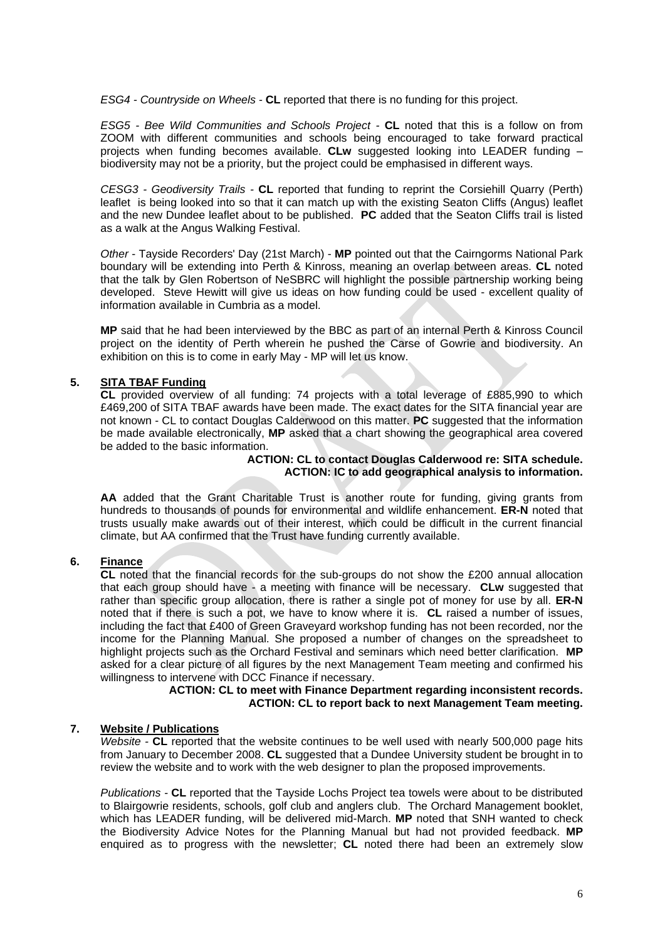*ESG4 - Countryside on Wheels -* **CL** reported that there is no funding for this project.

*ESG5 - Bee Wild Communities and Schools Project -* **CL** noted that this is a follow on from ZOOM with different communities and schools being encouraged to take forward practical projects when funding becomes available. **CLw** suggested looking into LEADER funding – biodiversity may not be a priority, but the project could be emphasised in different ways.

*CESG3 - Geodiversity Trails -* **CL** reported that funding to reprint the Corsiehill Quarry (Perth) leaflet is being looked into so that it can match up with the existing Seaton Cliffs (Angus) leaflet and the new Dundee leaflet about to be published. **PC** added that the Seaton Cliffs trail is listed as a walk at the Angus Walking Festival.

*Other* - Tayside Recorders' Day (21st March) - **MP** pointed out that the Cairngorms National Park boundary will be extending into Perth & Kinross, meaning an overlap between areas. **CL** noted that the talk by Glen Robertson of NeSBRC will highlight the possible partnership working being developed. Steve Hewitt will give us ideas on how funding could be used - excellent quality of information available in Cumbria as a model.

**MP** said that he had been interviewed by the BBC as part of an internal Perth & Kinross Council project on the identity of Perth wherein he pushed the Carse of Gowrie and biodiversity. An exhibition on this is to come in early May - MP will let us know.

#### **5. SITA TBAF Funding**

**CL** provided overview of all funding: 74 projects with a total leverage of £885,990 to which £469,200 of SITA TBAF awards have been made. The exact dates for the SITA financial year are not known - CL to contact Douglas Calderwood on this matter. **PC** suggested that the information be made available electronically, **MP** asked that a chart showing the geographical area covered be added to the basic information.

#### **ACTION: CL to contact Douglas Calderwood re: SITA schedule. ACTION: IC to add geographical analysis to information.**

**AA** added that the Grant Charitable Trust is another route for funding, giving grants from hundreds to thousands of pounds for environmental and wildlife enhancement. **ER-N** noted that trusts usually make awards out of their interest, which could be difficult in the current financial climate, but AA confirmed that the Trust have funding currently available.

#### **6. Finance**

**CL** noted that the financial records for the sub-groups do not show the £200 annual allocation that each group should have - a meeting with finance will be necessary. **CLw** suggested that rather than specific group allocation, there is rather a single pot of money for use by all. **ER-N** noted that if there is such a pot, we have to know where it is. **CL** raised a number of issues, including the fact that £400 of Green Graveyard workshop funding has not been recorded, nor the income for the Planning Manual. She proposed a number of changes on the spreadsheet to highlight projects such as the Orchard Festival and seminars which need better clarification. **MP** asked for a clear picture of all figures by the next Management Team meeting and confirmed his willingness to intervene with DCC Finance if necessary.

#### **ACTION: CL to meet with Finance Department regarding inconsistent records. ACTION: CL to report back to next Management Team meeting.**

#### **7. Website / Publications**

*Website -* **CL** reported that the website continues to be well used with nearly 500,000 page hits from January to December 2008. **CL** suggested that a Dundee University student be brought in to review the website and to work with the web designer to plan the proposed improvements.

*Publications -* **CL** reported that the Tayside Lochs Project tea towels were about to be distributed to Blairgowrie residents, schools, golf club and anglers club. The Orchard Management booklet, which has LEADER funding, will be delivered mid-March. **MP** noted that SNH wanted to check the Biodiversity Advice Notes for the Planning Manual but had not provided feedback. **MP**  enquired as to progress with the newsletter; **CL** noted there had been an extremely slow